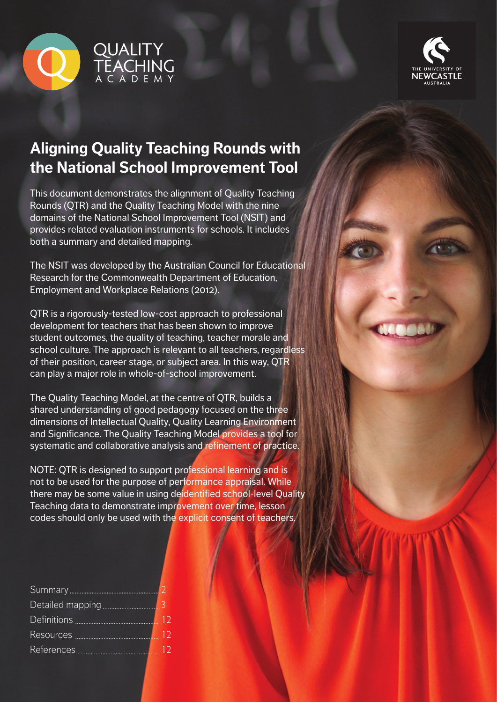



# **Aligning Quality Teaching Rounds with the National School Improvement Tool**

This document demonstrates the alignment of Quality Teaching Rounds (QTR) and the Quality Teaching Model with the nine domains of the National School Improvement Tool (NSIT) and provides related evaluation instruments for schools. It includes both a summary and detailed mapping.

The NSIT was developed by the Australian Council for Educational Research for the Commonwealth Department of Education, Employment and Workplace Relations (2012).

QTR is a rigorously-tested low-cost approach to professional development for teachers that has been shown to improve student outcomes, the quality of teaching, teacher morale and school culture. The approach is relevant to all teachers, regardless of their position, career stage, or subject area. In this way, QTR can play a major role in whole-of-school improvement.

The Quality Teaching Model, at the centre of QTR, builds a shared understanding of good pedagogy focused on the three dimensions of Intellectual Quality, Quality Learning Environment and Significance. The Quality Teaching Model provides a tool for systematic and collaborative analysis and refinement of practice.

NOTE: QTR is designed to support professional learning and is not to be used for the purpose of performance appraisal. While there may be some value in using deidentified school-level Quality Teaching data to demonstrate improvement over time, lesson codes should only be used with the explicit consent of teachers.

| Definitions <b>Manual</b> Definitions | 12 |
|---------------------------------------|----|
|                                       | 12 |
|                                       | 12 |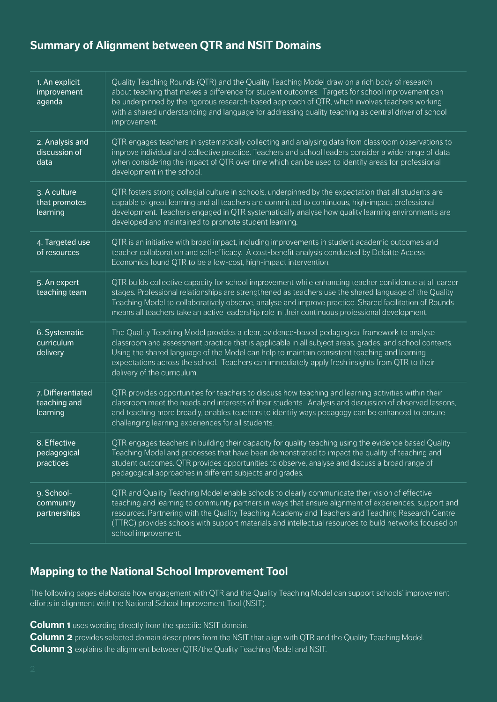### **Summary of Alignment between QTR and NSIT Domains**

| 1. An explicit<br>improvement<br>agenda       | Quality Teaching Rounds (QTR) and the Quality Teaching Model draw on a rich body of research<br>about teaching that makes a difference for student outcomes. Targets for school improvement can<br>be underpinned by the rigorous research-based approach of QTR, which involves teachers working<br>with a shared understanding and language for addressing quality teaching as central driver of school<br>improvement.                     |
|-----------------------------------------------|-----------------------------------------------------------------------------------------------------------------------------------------------------------------------------------------------------------------------------------------------------------------------------------------------------------------------------------------------------------------------------------------------------------------------------------------------|
| 2. Analysis and<br>discussion of<br>data      | QTR engages teachers in systematically collecting and analysing data from classroom observations to<br>improve individual and collective practice. Teachers and school leaders consider a wide range of data<br>when considering the impact of QTR over time which can be used to identify areas for professional<br>development in the school.                                                                                               |
| 3. A culture<br>that promotes<br>learning     | QTR fosters strong collegial culture in schools, underpinned by the expectation that all students are<br>capable of great learning and all teachers are committed to continuous, high-impact professional<br>development. Teachers engaged in QTR systematically analyse how quality learning environments are<br>developed and maintained to promote student learning.                                                                       |
| 4. Targeted use<br>of resources               | QTR is an initiative with broad impact, including improvements in student academic outcomes and<br>teacher collaboration and self-efficacy. A cost-benefit analysis conducted by Deloitte Access<br>Economics found QTR to be a low-cost, high-impact intervention.                                                                                                                                                                           |
| 5. An expert<br>teaching team                 | QTR builds collective capacity for school improvement while enhancing teacher confidence at all career<br>stages. Professional relationships are strengthened as teachers use the shared language of the Quality<br>Teaching Model to collaboratively observe, analyse and improve practice. Shared facilitation of Rounds<br>means all teachers take an active leadership role in their continuous professional development.                 |
| 6. Systematic<br>curriculum<br>delivery       | The Quality Teaching Model provides a clear, evidence-based pedagogical framework to analyse<br>classroom and assessment practice that is applicable in all subject areas, grades, and school contexts.<br>Using the shared language of the Model can help to maintain consistent teaching and learning<br>expectations across the school. Teachers can immediately apply fresh insights from QTR to their<br>delivery of the curriculum.     |
| 7. Differentiated<br>teaching and<br>learning | QTR provides opportunities for teachers to discuss how teaching and learning activities within their<br>classroom meet the needs and interests of their students. Analysis and discussion of observed lessons,<br>and teaching more broadly, enables teachers to identify ways pedagogy can be enhanced to ensure<br>challenging learning experiences for all students.                                                                       |
| 8. Effective<br>pedagogical<br>practices      | QTR engages teachers in building their capacity for quality teaching using the evidence based Quality<br>Teaching Model and processes that have been demonstrated to impact the quality of teaching and<br>student outcomes. QTR provides opportunities to observe, analyse and discuss a broad range of<br>pedagogical approaches in different subjects and grades.                                                                          |
| 9. School-<br>community<br>partnerships       | QTR and Quality Teaching Model enable schools to clearly communicate their vision of effective<br>teaching and learning to community partners in ways that ensure alignment of experiences, support and<br>resources. Partnering with the Quality Teaching Academy and Teachers and Teaching Research Centre<br>(TTRC) provides schools with support materials and intellectual resources to build networks focused on<br>school improvement. |

### **Mapping to the National School Improvement Tool**

The following pages elaborate how engagement with QTR and the Quality Teaching Model can support schools' improvement efforts in alignment with the National School Improvement Tool (NSIT).

**Column 1** uses wording directly from the specific NSIT domain.

**Column 2** provides selected domain descriptors from the NSIT that align with QTR and the Quality Teaching Model. **Column 3** explains the alignment between QTR/the Quality Teaching Model and NSIT.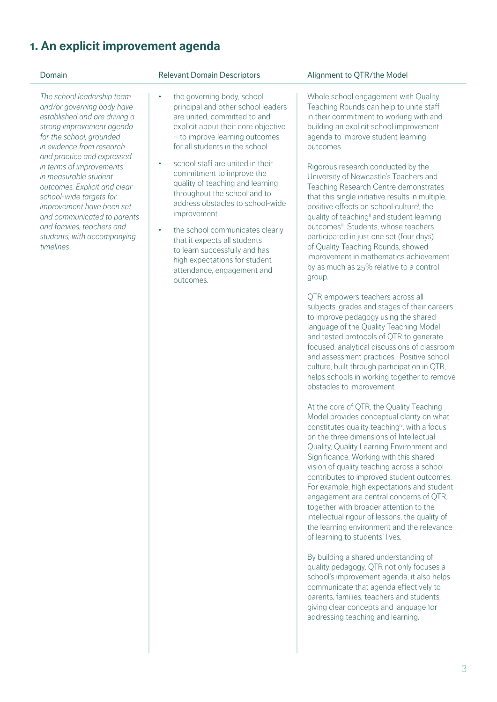## **1. An explicit improvement agenda**

*The school leadership team and/or governing body have established and are driving a strong improvement agenda for the school, grounded in evidence from research and practice and expressed in terms of improvements in measurable student outcomes. Explicit and clear school-wide targets for improvement have been set and communicated to parents and families, teachers and students, with accompanying timelines*

- the governing body, school principal and other school leaders are united, committed to and explicit about their core objective – to improve learning outcomes for all students in the school
- school staff are united in their commitment to improve the quality of teaching and learning throughout the school and to address obstacles to school-wide improvement
- the school communicates clearly that it expects all students to learn successfully and has high expectations for student attendance, engagement and outcomes.

### Domain **Domain** Relevant Domain Descriptors Alignment to OTR/the Model

Whole school engagement with Quality Teaching Rounds can help to unite staff in their commitment to working with and building an explicit school improvement agenda to improve student learning outcomes.

Rigorous research conducted by the University of Newcastle's Teachers and Teaching Research Centre demonstrates that this single initiative results in multiple, positive effects on school culturei , the quality of teaching<sup>ii</sup> and student learning outcomes<sup>iii</sup>. Students, whose teachers participated in just one set (four days) of Quality Teaching Rounds, showed improvement in mathematics achievement by as much as 25% relative to a control group.

QTR empowers teachers across all subjects, grades and stages of their careers to improve pedagogy using the shared language of the Quality Teaching Model and tested protocols of QTR to generate focused, analytical discussions of classroom and assessment practices. Positive school culture, built through participation in QTR, helps schools in working together to remove obstacles to improvement.

At the core of QTR, the Quality Teaching Model provides conceptual clarity on what constitutes quality teachingiv, with a focus on the three dimensions of Intellectual Quality, Quality Learning Environment and Significance. Working with this shared. vision of quality teaching across a school contributes to improved student outcomes. For example, high expectations and student engagement are central concerns of QTR, together with broader attention to the intellectual rigour of lessons, the quality of the learning environment and the relevance of learning to students' lives.

By building a shared understanding of quality pedagogy, QTR not only focuses a school's improvement agenda, it also helps communicate that agenda effectively to parents, families, teachers and students, giving clear concepts and language for addressing teaching and learning.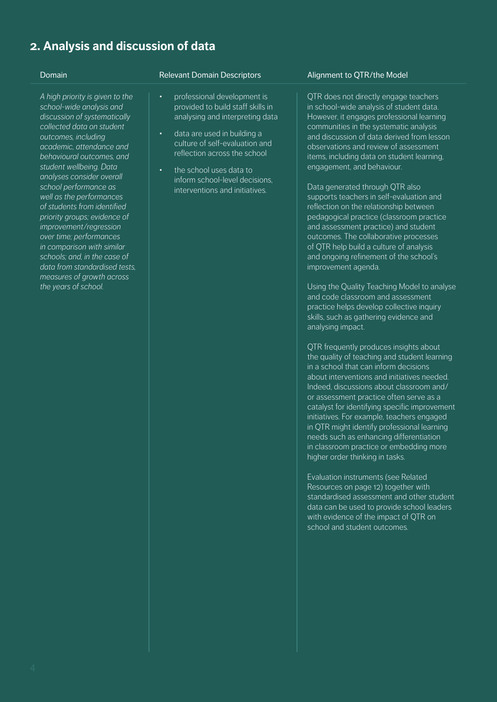## **2. Analysis and discussion of data**

*A high priority is given to the school-wide analysis and discussion of systematically collected data on student outcomes, including academic, attendance and behavioural outcomes, and student wellbeing. Data analyses consider overall school performance as well as the performances of students from identified priority groups; evidence of improvement/regression over time; performances in comparison with similar schools; and, in the case of data from standardised tests, measures of growth across the years of school.*

- professional development is provided to build staff skills in analysing and interpreting data
- data are used in building a culture of self-evaluation and reflection across the school
- the school uses data to inform school-level decisions, interventions and initiatives.

### Domain **Domain Comain Descriptors** Alignment to OTR/the Model

QTR does not directly engage teachers in school-wide analysis of student data. However, it engages professional learning communities in the systematic analysis and discussion of data derived from lesson observations and review of assessment items, including data on student learning, engagement, and behaviour.

Data generated through QTR also supports teachers in self-evaluation and reflection on the relationship between pedagogical practice (classroom practice and assessment practice) and student outcomes. The collaborative processes of QTR help build a culture of analysis and ongoing refinement of the school's improvement agenda.

Using the Quality Teaching Model to analyse and code classroom and assessment practice helps develop collective inquiry skills, such as gathering evidence and analysing impact.

QTR frequently produces insights about the quality of teaching and student learning in a school that can inform decisions about interventions and initiatives needed. Indeed, discussions about classroom and/ or assessment practice often serve as a catalyst for identifying specific improvement initiatives. For example, teachers engaged in QTR might identify professional learning needs such as enhancing differentiation in classroom practice or embedding more higher order thinking in tasks.

Evaluation instruments (see Related Resources on page 12) together with standardised assessment and other student data can be used to provide school leaders with evidence of the impact of OTR on school and student outcomes.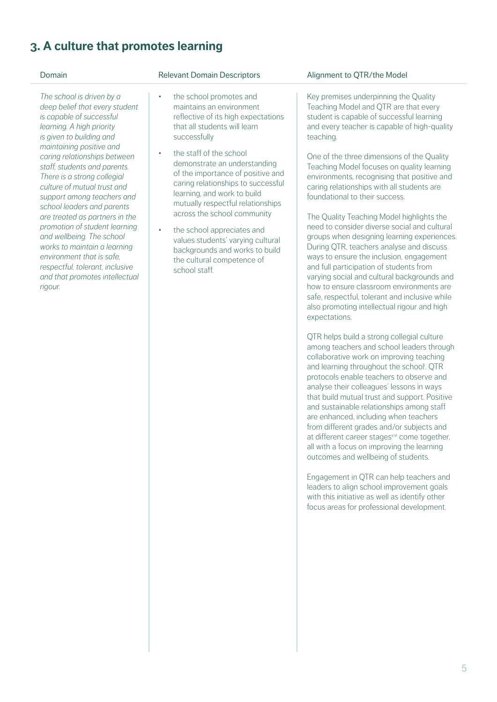## **3. A culture that promotes learning**

- the school promotes and maintains an environment reflective of its high expectations that all students will learn successfully
- the staff of the school demonstrate an understanding of the importance of positive and caring relationships to successful learning, and work to build mutually respectful relationships across the school community
- the school appreciates and values students' varying cultural backgrounds and works to build the cultural competence of school staff.

### Domain **Domain** Relevant Domain Descriptors **Alignment to OTR/the Model**

Key premises underpinning the Quality Teaching Model and QTR are that every student is capable of successful learning and every teacher is capable of high-quality teaching.

One of the three dimensions of the Quality Teaching Model focuses on quality learning environments, recognising that positive and caring relationships with all students are foundational to their success.

The Quality Teaching Model highlights the need to consider diverse social and cultural groups when designing learning experiences. During QTR, teachers analyse and discuss ways to ensure the inclusion, engagement and full participation of students from varying social and cultural backgrounds and how to ensure classroom environments are safe, respectful, tolerant and inclusive while also promoting intellectual rigour and high expectations.

QTR helps build a strong collegial culture among teachers and school leaders through collaborative work on improving teaching and learning throughout the school<sup>i</sup>. QTR protocols enable teachers to observe and analyse their colleagues' lessons in ways that build mutual trust and support. Positive and sustainable relationships among staff are enhanced, including when teachers from different grades and/or subjects and at different career stages<sup>v,vi</sup> come together. all with a focus on improving the learning outcomes and wellbeing of students.

Engagement in QTR can help teachers and leaders to align school improvement goals with this initiative as well as identify other focus areas for professional development.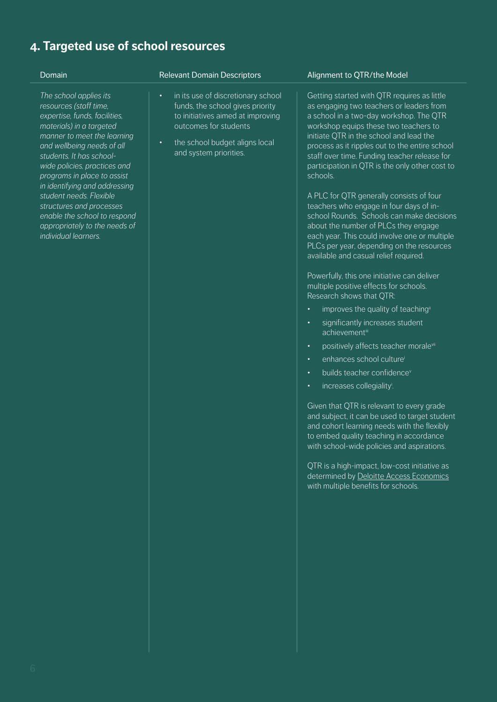## **4. Targeted use of school resources**

*The school applies its resources (staff time, expertise, funds, facilities, materials) in a targeted manner to meet the learning and wellbeing needs of all students. It has schoolwide policies, practices and programs in place to assist in identifying and addressing student needs. Flexible structures and processes enable the school to respond appropriately to the needs of individual learners.*

- in its use of discretionary school funds, the school gives priority to initiatives aimed at improving outcomes for students
- the school budget aligns local and system priorities.

### Domain **Domain Comain Descriptors** Alignment to QTR/the Model

Getting started with QTR requires as little as engaging two teachers or leaders from a school in a two-day workshop. The QTR workshop equips these two teachers to initiate QTR in the school and lead the process as it ripples out to the entire school staff over time. Funding teacher release for participation in QTR is the only other cost to schools.

A PLC for QTR generally consists of four teachers who engage in four days of inschool Rounds. Schools can make decisions about the number of PLCs they engage each year. This could involve one or multiple PLCs per year, depending on the resources available and casual relief required.

Powerfully, this one initiative can deliver multiple positive effects for schools. Research shows that QTR:

- improves the quality of teaching<sup>ii</sup>
- significantly increases student achievementiii
- positively affects teacher moralevii
- enhances school culturei
- builds teacher confidence<sup>v</sup>
- increases collegiality<sup>i</sup>.

Given that QTR is relevant to every grade and subject, it can be used to target student and cohort learning needs with the flexibly to embed quality teaching in accordance with school-wide policies and aspirations.

QTR is a high-impact, low-cost initiative as determined by Deloitte Access Economics with multiple benefits for schools.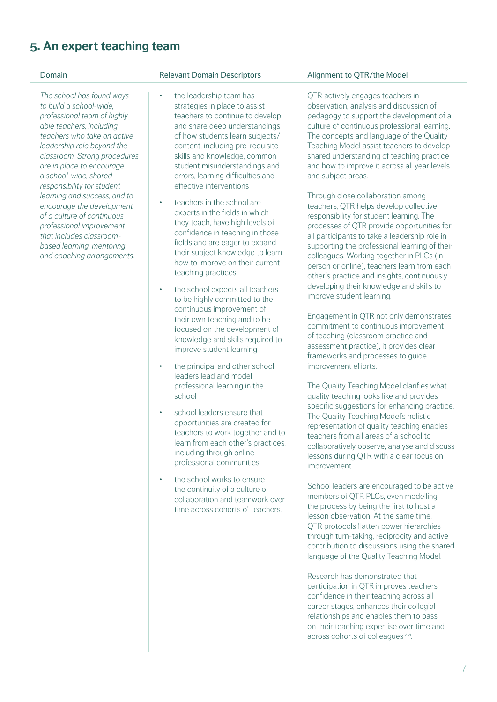## **5. An expert teaching team**

*The school has found ways to build a school-wide, professional team of highly able teachers, including teachers who take an active leadership role beyond the classroom. Strong procedures are in place to encourage a school-wide, shared responsibility for student learning and success, and to encourage the development of a culture of continuous professional improvement that includes classroombased learning, mentoring and coaching arrangements.*

- the leadership team has strategies in place to assist teachers to continue to develop and share deep understandings of how students learn subjects/ content, including pre-requisite skills and knowledge, common student misunderstandings and errors, learning difficulties and effective interventions
- teachers in the school are experts in the fields in which they teach, have high levels of confidence in teaching in those fields and are eager to expand their subject knowledge to learn how to improve on their current teaching practices
- the school expects all teachers to be highly committed to the continuous improvement of their own teaching and to be focused on the development of knowledge and skills required to improve student learning
- the principal and other school leaders lead and model professional learning in the school
- school leaders ensure that opportunities are created for teachers to work together and to learn from each other's practices, including through online professional communities
- the school works to ensure the continuity of a culture of collaboration and teamwork over time across cohorts of teachers.

### Domain **Domain** Relevant Domain Descriptors Alignment to OTR/the Model

QTR actively engages teachers in observation, analysis and discussion of pedagogy to support the development of a culture of continuous professional learning. The concepts and language of the Quality Teaching Model assist teachers to develop shared understanding of teaching practice and how to improve it across all year levels and subject areas.

Through close collaboration among teachers, QTR helps develop collective responsibility for student learning. The processes of QTR provide opportunities for all participants to take a leadership role in supporting the professional learning of their colleagues. Working together in PLCs (in person or online), teachers learn from each other's practice and insights, continuously developing their knowledge and skills to improve student learning.

Engagement in QTR not only demonstrates commitment to continuous improvement of teaching (classroom practice and assessment practice), it provides clear frameworks and processes to guide improvement efforts.

The Quality Teaching Model clarifies what quality teaching looks like and provides specific suggestions for enhancing practice. The Quality Teaching Model's holistic representation of quality teaching enables teachers from all areas of a school to collaboratively observe, analyse and discuss lessons during QTR with a clear focus on improvement.

School leaders are encouraged to be active members of QTR PLCs, even modelling the process by being the first to host a lesson observation. At the same time, QTR protocols flatten power hierarchies through turn-taking, reciprocity and active contribution to discussions using the shared language of the Quality Teaching Model.

Research has demonstrated that participation in QTR improves teachers' confidence in their teaching across all career stages, enhances their collegial relationships and enables them to pass on their teaching expertise over time and across cohorts of colleagues vvi.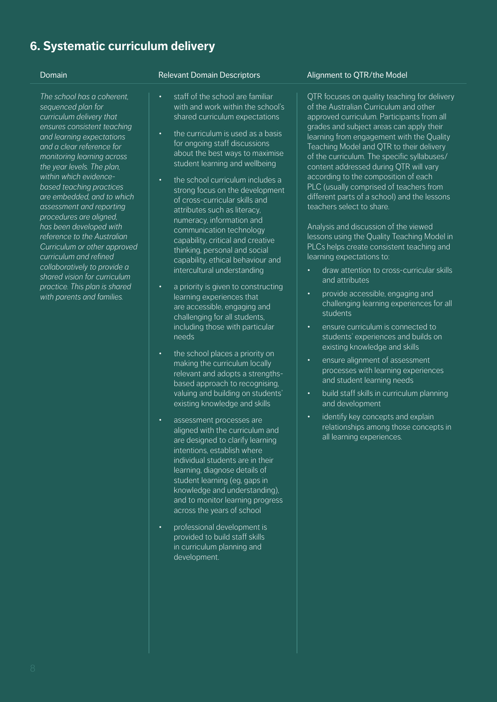## **6. Systematic curriculum delivery**

*The school has a coherent, sequenced plan for curriculum delivery that ensures consistent teaching and learning expectations and a clear reference for monitoring learning across the year levels. The plan, within which evidencebased teaching practices are embedded, and to which assessment and reporting procedures are aligned, has been developed with reference to the Australian Curriculum or other approved curriculum and refined collaboratively to provide a shared vision for curriculum practice. This plan is shared with parents and families.*

- staff of the school are familiar with and work within the school's shared curriculum expectations
- the curriculum is used as a basis for ongoing staff discussions about the best ways to maximise student learning and wellbeing
- the school curriculum includes a strong focus on the development of cross-curricular skills and attributes such as literacy, numeracy, information and communication technology capability, critical and creative thinking, personal and social capability, ethical behaviour and intercultural understanding
- a priority is given to constructing learning experiences that are accessible, engaging and challenging for all students, including those with particular needs
- the school places a priority on making the curriculum locally relevant and adopts a strengthsbased approach to recognising, valuing and building on students' existing knowledge and skills
- assessment processes are aligned with the curriculum and are designed to clarify learning intentions, establish where individual students are in their learning, diagnose details of student learning (eg, gaps in knowledge and understanding), and to monitor learning progress across the years of school
- professional development is provided to build staff skills in curriculum planning and development.

### Domain **Domain Comain Descriptors** Alignment to QTR/the Model

QTR focuses on quality teaching for delivery of the Australian Curriculum and other approved curriculum. Participants from all grades and subject areas can apply their learning from engagement with the Quality Teaching Model and QTR to their delivery of the curriculum. The specific syllabuses/ content addressed during QTR will vary according to the composition of each PLC (usually comprised of teachers from different parts of a school) and the lessons teachers select to share.

Analysis and discussion of the viewed lessons using the Quality Teaching Model in PLCs helps create consistent teaching and learning expectations to:

- draw attention to cross-curricular skills and attributes
- provide accessible, engaging and challenging learning experiences for all students
- ensure curriculum is connected to students' experiences and builds on existing knowledge and skills
- ensure alignment of assessment processes with learning experiences and student learning needs
- build staff skills in curriculum planning and development
- identify key concepts and explain relationships among those concepts in all learning experiences.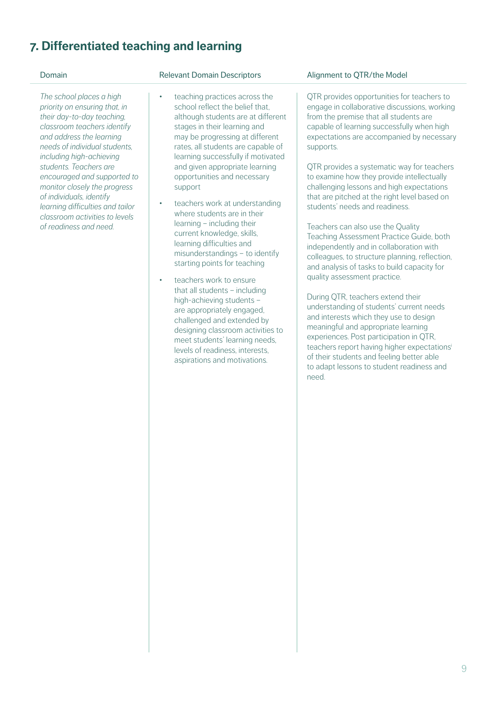## **7. Differentiated teaching and learning**

*The school places a high priority on ensuring that, in their day-to-day teaching, classroom teachers identify and address the learning needs of individual students, including high-achieving students. Teachers are encouraged and supported to monitor closely the progress of individuals, identify learning difficulties and tailor classroom activities to levels of readiness and need.*

- teaching practices across the school reflect the belief that. although students are at different stages in their learning and may be progressing at different rates, all students are capable of learning successfully if motivated and given appropriate learning opportunities and necessary support
- teachers work at understanding where students are in their learning – including their current knowledge, skills, learning difficulties and misunderstandings – to identify starting points for teaching
- teachers work to ensure that all students – including high-achieving students – are appropriately engaged, challenged and extended by designing classroom activities to meet students' learning needs, levels of readiness, interests, aspirations and motivations.

### Domain **Domain** Relevant Domain Descriptors Alignment to OTR/the Model

QTR provides opportunities for teachers to engage in collaborative discussions, working from the premise that all students are capable of learning successfully when high expectations are accompanied by necessary supports.

QTR provides a systematic way for teachers to examine how they provide intellectually challenging lessons and high expectations that are pitched at the right level based on students' needs and readiness.

Teachers can also use the Quality Teaching Assessment Practice Guide, both independently and in collaboration with colleagues, to structure planning, reflection, and analysis of tasks to build capacity for quality assessment practice.

During QTR, teachers extend their understanding of students' current needs and interests which they use to design meaningful and appropriate learning experiences. Post participation in QTR, teachers report having higher expectationsi of their students and feeling better able to adapt lessons to student readiness and need.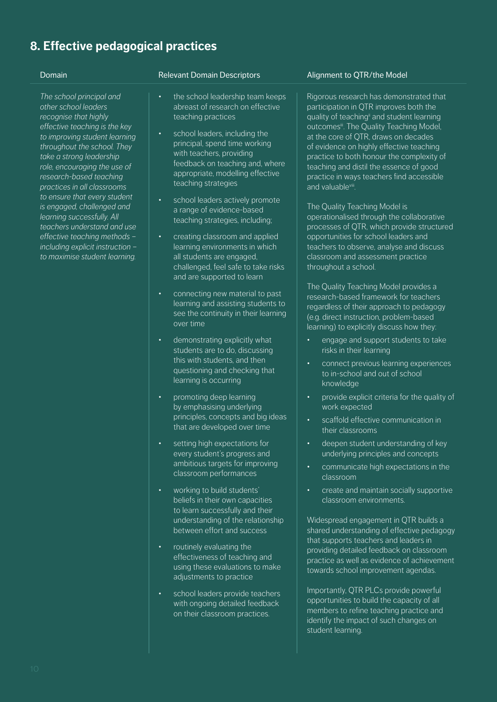## **8. Effective pedagogical practices**

*The school principal and other school leaders recognise that highly effective teaching is the key to improving student learning throughout the school. They take a strong leadership role, encouraging the use of research-based teaching practices in all classrooms to ensure that every student is engaged, challenged and learning successfully. All teachers understand and use effective teaching methods – including explicit instruction – to maximise student learning.*

### Domain **Domain Comain Descriptors** Alignment to OTR/the Model

- the school leadership team keeps abreast of research on effective teaching practices
- school leaders, including the principal, spend time working with teachers, providing feedback on teaching and, where appropriate, modelling effective teaching strategies
- school leaders actively promote a range of evidence-based teaching strategies, including;
- creating classroom and applied learning environments in which all students are engaged, challenged, feel safe to take risks and are supported to learn
- connecting new material to past learning and assisting students to see the continuity in their learning over time
- demonstrating explicitly what students are to do, discussing this with students, and then questioning and checking that learning is occurring
- promoting deep learning by emphasising underlying principles, concepts and big ideas that are developed over time
- setting high expectations for every student's progress and ambitious targets for improving classroom performances
- working to build students' beliefs in their own capacities to learn successfully and their understanding of the relationship between effort and success
- routinely evaluating the effectiveness of teaching and using these evaluations to make adjustments to practice
- school leaders provide teachers with ongoing detailed feedback on their classroom practices.

Rigorous research has demonstrated that participation in QTR improves both the quality of teaching<sup>ii</sup> and student learning outcomes<sup>ii</sup>. The Quality Teaching Model, at the core of QTR, draws on decades of evidence on highly effective teaching practice to both honour the complexity of teaching and distil the essence of good practice in ways teachers find accessible and valuable<sup>viii</sup>.

The Quality Teaching Model is operationalised through the collaborative processes of QTR, which provide structured opportunities for school leaders and teachers to observe, analyse and discuss classroom and assessment practice throughout a school.

The Quality Teaching Model provides a research-based framework for teachers regardless of their approach to pedagogy (e.g. direct instruction, problem-based learning) to explicitly discuss how they:

- engage and support students to take risks in their learning
- connect previous learning experiences to in-school and out of school knowledge
- provide explicit criteria for the quality of work expected
- scaffold effective communication in their classrooms
- deepen student understanding of key underlying principles and concepts
- communicate high expectations in the classroom
- create and maintain socially supportive classroom environments.

Widespread engagement in QTR builds a shared understanding of effective pedagogy that supports teachers and leaders in providing detailed feedback on classroom practice as well as evidence of achievement towards school improvement agendas.

Importantly, QTR PLCs provide powerful opportunities to build the capacity of all members to refine teaching practice and identify the impact of such changes on student learning.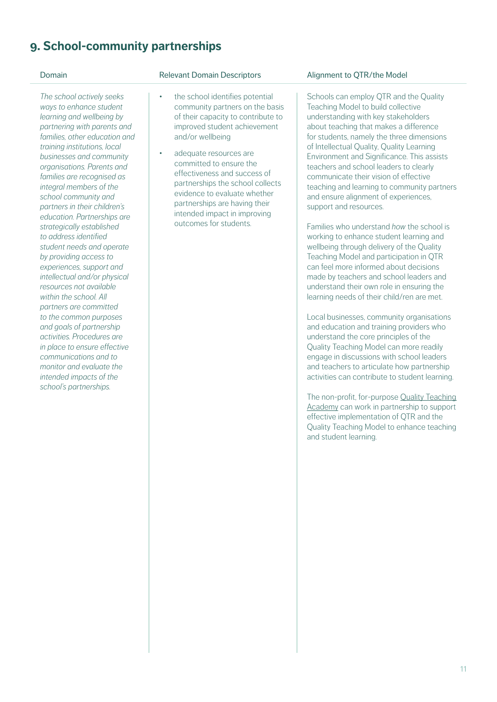## **9. School-community partnerships**

*The school actively seeks ways to enhance student learning and wellbeing by partnering with parents and families, other education and training institutions, local businesses and community organisations. Parents and families are recognised as integral members of the school community and partners in their children's education. Partnerships are strategically established to address identified student needs and operate by providing access to experiences, support and intellectual and/or physical resources not available within the school. All partners are committed to the common purposes and goals of partnership activities. Procedures are in place to ensure effective communications and to monitor and evaluate the intended impacts of the school's partnerships.*

- the school identifies potential community partners on the basis of their capacity to contribute to improved student achievement and/or wellbeing
- adequate resources are committed to ensure the effectiveness and success of partnerships the school collects evidence to evaluate whether partnerships are having their intended impact in improving outcomes for students.

### Domain **Domain** Relevant Domain Descriptors Alignment to OTR/the Model

Schools can employ QTR and the Quality Teaching Model to build collective understanding with key stakeholders about teaching that makes a difference for students, namely the three dimensions of Intellectual Quality, Quality Learning Environment and Significance. This assists teachers and school leaders to clearly communicate their vision of effective teaching and learning to community partners and ensure alignment of experiences, support and resources.

Families who understand *how* the school is working to enhance student learning and wellbeing through delivery of the Quality Teaching Model and participation in QTR can feel more informed about decisions made by teachers and school leaders and understand their own role in ensuring the learning needs of their child/ren are met.

Local businesses, community organisations and education and training providers who understand the core principles of the Quality Teaching Model can more readily engage in discussions with school leaders and teachers to articulate how partnership activities can contribute to student learning.

The non-profit, for-purpose Quality Teaching Academy can work in partnership to support effective implementation of QTR and the Quality Teaching Model to enhance teaching and student learning.